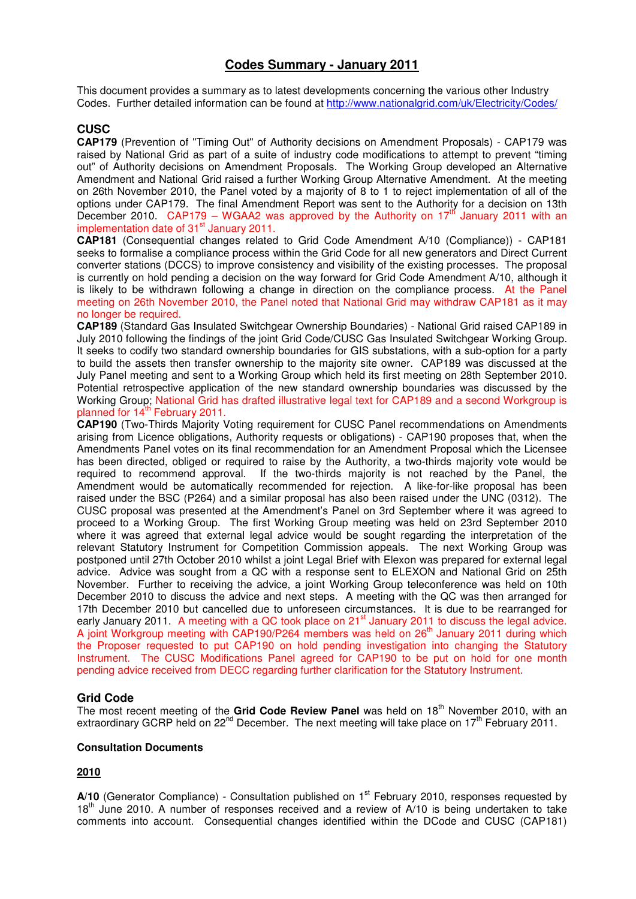# **Codes Summary - January 2011**

This document provides a summary as to latest developments concerning the various other Industry Codes. Further detailed information can be found at http://www.nationalgrid.com/uk/Electricity/Codes/

# **CUSC**

**CAP179** (Prevention of "Timing Out" of Authority decisions on Amendment Proposals) - CAP179 was raised by National Grid as part of a suite of industry code modifications to attempt to prevent "timing out" of Authority decisions on Amendment Proposals. The Working Group developed an Alternative Amendment and National Grid raised a further Working Group Alternative Amendment. At the meeting on 26th November 2010, the Panel voted by a majority of 8 to 1 to reject implementation of all of the options under CAP179. The final Amendment Report was sent to the Authority for a decision on 13th December 2010. CAP179 – WGAA2 was approved by the Authority on  $17<sup>th</sup>$  January 2011 with an implementation date of  $31<sup>st</sup>$  January 2011.

**CAP181** (Consequential changes related to Grid Code Amendment A/10 (Compliance)) - CAP181 seeks to formalise a compliance process within the Grid Code for all new generators and Direct Current converter stations (DCCS) to improve consistency and visibility of the existing processes. The proposal is currently on hold pending a decision on the way forward for Grid Code Amendment A/10, although it is likely to be withdrawn following a change in direction on the compliance process. At the Panel meeting on 26th November 2010, the Panel noted that National Grid may withdraw CAP181 as it may no longer be required.

**CAP189** (Standard Gas Insulated Switchgear Ownership Boundaries) - National Grid raised CAP189 in July 2010 following the findings of the joint Grid Code/CUSC Gas Insulated Switchgear Working Group. It seeks to codify two standard ownership boundaries for GIS substations, with a sub-option for a party to build the assets then transfer ownership to the majority site owner. CAP189 was discussed at the July Panel meeting and sent to a Working Group which held its first meeting on 28th September 2010. Potential retrospective application of the new standard ownership boundaries was discussed by the Working Group; National Grid has drafted illustrative legal text for CAP189 and a second Workgroup is planned for 14<sup>th</sup> February 2011.

**CAP190** (Two-Thirds Majority Voting requirement for CUSC Panel recommendations on Amendments arising from Licence obligations, Authority requests or obligations) - CAP190 proposes that, when the Amendments Panel votes on its final recommendation for an Amendment Proposal which the Licensee has been directed, obliged or required to raise by the Authority, a two-thirds majority vote would be required to recommend approval. If the two-thirds majority is not reached by the Panel, the Amendment would be automatically recommended for rejection. A like-for-like proposal has been raised under the BSC (P264) and a similar proposal has also been raised under the UNC (0312). The CUSC proposal was presented at the Amendment's Panel on 3rd September where it was agreed to proceed to a Working Group. The first Working Group meeting was held on 23rd September 2010 where it was agreed that external legal advice would be sought regarding the interpretation of the relevant Statutory Instrument for Competition Commission appeals. The next Working Group was postponed until 27th October 2010 whilst a joint Legal Brief with Elexon was prepared for external legal advice. Advice was sought from a QC with a response sent to ELEXON and National Grid on 25th November. Further to receiving the advice, a joint Working Group teleconference was held on 10th December 2010 to discuss the advice and next steps. A meeting with the QC was then arranged for 17th December 2010 but cancelled due to unforeseen circumstances. It is due to be rearranged for early January 2011. A meeting with a QC took place on 21<sup>st</sup> January 2011 to discuss the legal advice. A joint Workgroup meeting with CAP190/P264 members was held on 26<sup>th</sup> January 2011 during which the Proposer requested to put CAP190 on hold pending investigation into changing the Statutory Instrument. The CUSC Modifications Panel agreed for CAP190 to be put on hold for one month pending advice received from DECC regarding further clarification for the Statutory Instrument.

# **Grid Code**

The most recent meeting of the **Grid Code Review Panel** was held on 18<sup>th</sup> November 2010, with an extraordinary GCRP held on  $22^{nd}$  December. The next meeting will take place on 17<sup>th</sup> February 2011.

# **Consultation Documents**

# **2010**

A/10 (Generator Compliance) - Consultation published on 1<sup>st</sup> February 2010, responses requested by  $18<sup>th</sup>$  June 2010. A number of responses received and a review of A/10 is being undertaken to take comments into account. Consequential changes identified within the DCode and CUSC (CAP181)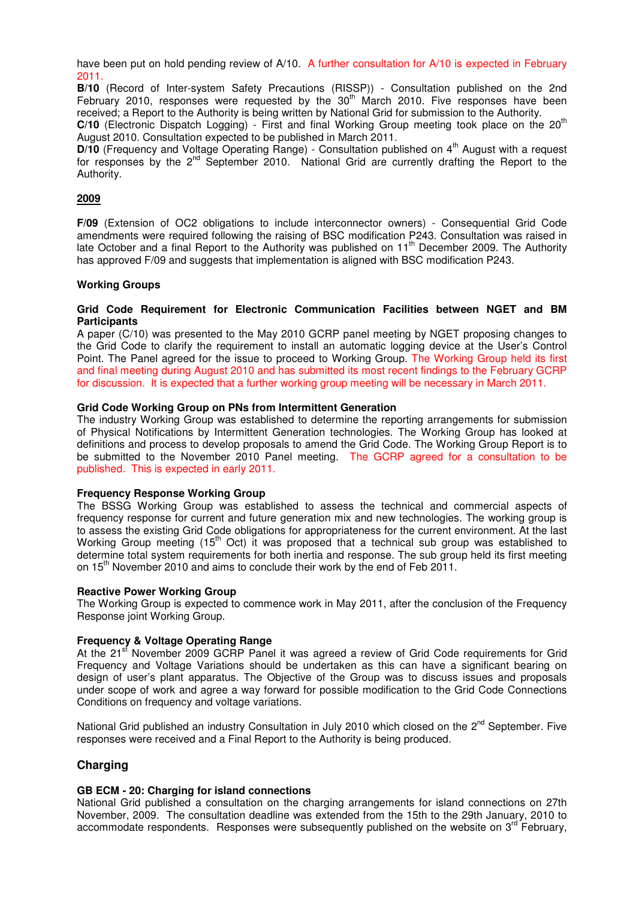have been put on hold pending review of A/10. A further consultation for A/10 is expected in February 2011.

**B/10** (Record of Inter-system Safety Precautions (RISSP)) - Consultation published on the 2nd February 2010, responses were requested by the 30<sup>th</sup> March 2010. Five responses have been received; a Report to the Authority is being written by National Grid for submission to the Authority.

C/10 (Electronic Dispatch Logging) - First and final Working Group meeting took place on the 20<sup>th</sup> August 2010. Consultation expected to be published in March 2011.

**D/10** (Frequency and Voltage Operating Range) - Consultation published on 4<sup>th</sup> August with a request for responses by the  $2^{nd}$  September 2010. National Grid are currently drafting the Report to the Authority.

## **2009**

**F/09** (Extension of OC2 obligations to include interconnector owners) - Consequential Grid Code amendments were required following the raising of BSC modification P243. Consultation was raised in late October and a final Report to the Authority was published on 11<sup>th</sup> December 2009. The Authority has approved F/09 and suggests that implementation is aligned with BSC modification P243.

#### **Working Groups**

#### **Grid Code Requirement for Electronic Communication Facilities between NGET and BM Participants**

A paper (C/10) was presented to the May 2010 GCRP panel meeting by NGET proposing changes to the Grid Code to clarify the requirement to install an automatic logging device at the User's Control Point. The Panel agreed for the issue to proceed to Working Group. The Working Group held its first and final meeting during August 2010 and has submitted its most recent findings to the February GCRP for discussion. It is expected that a further working group meeting will be necessary in March 2011.

#### **Grid Code Working Group on PNs from Intermittent Generation**

The industry Working Group was established to determine the reporting arrangements for submission of Physical Notifications by Intermittent Generation technologies. The Working Group has looked at definitions and process to develop proposals to amend the Grid Code. The Working Group Report is to be submitted to the November 2010 Panel meeting. The GCRP agreed for a consultation to be published. This is expected in early 2011.

#### **Frequency Response Working Group**

The BSSG Working Group was established to assess the technical and commercial aspects of frequency response for current and future generation mix and new technologies. The working group is to assess the existing Grid Code obligations for appropriateness for the current environment. At the last Working Group meeting (15<sup>th</sup> Oct) it was proposed that a technical sub group was established to determine total system requirements for both inertia and response. The sub group held its first meeting on 15<sup>th</sup> November 2010 and aims to conclude their work by the end of Feb 2011.

#### **Reactive Power Working Group**

The Working Group is expected to commence work in May 2011, after the conclusion of the Frequency Response joint Working Group.

#### **Frequency & Voltage Operating Range**

At the 21<sup>st</sup> November 2009 GCRP Panel it was agreed a review of Grid Code requirements for Grid Frequency and Voltage Variations should be undertaken as this can have a significant bearing on design of user's plant apparatus. The Objective of the Group was to discuss issues and proposals under scope of work and agree a way forward for possible modification to the Grid Code Connections Conditions on frequency and voltage variations.

National Grid published an industry Consultation in July 2010 which closed on the 2<sup>nd</sup> September. Five responses were received and a Final Report to the Authority is being produced.

# **Charging**

#### **GB ECM - 20: Charging for island connections**

National Grid published a consultation on the charging arrangements for island connections on 27th November, 2009. The consultation deadline was extended from the 15th to the 29th January, 2010 to accommodate respondents. Responses were subsequently published on the website on 3<sup>rd</sup> February,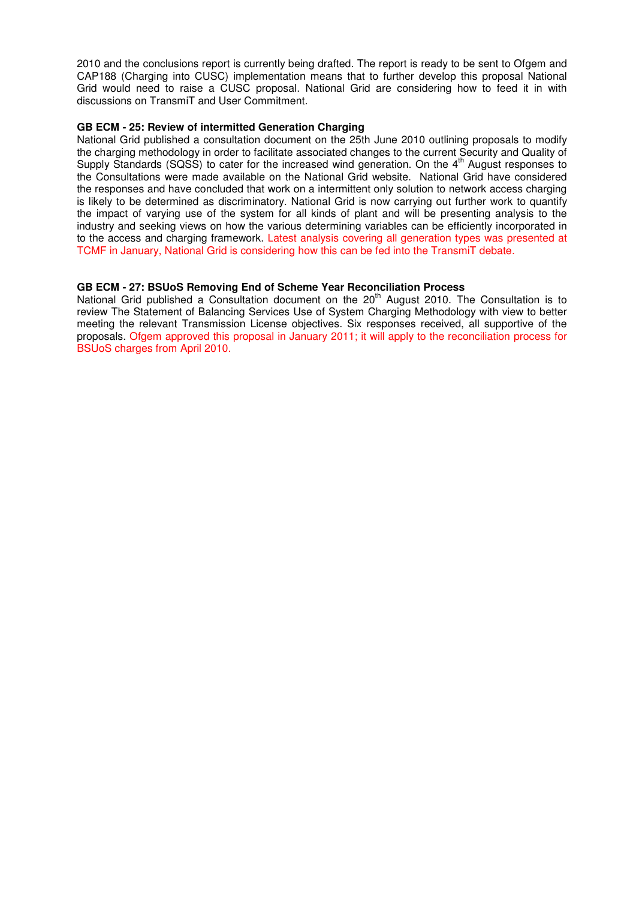2010 and the conclusions report is currently being drafted. The report is ready to be sent to Ofgem and CAP188 (Charging into CUSC) implementation means that to further develop this proposal National Grid would need to raise a CUSC proposal. National Grid are considering how to feed it in with discussions on TransmiT and User Commitment.

## **GB ECM - 25: Review of intermitted Generation Charging**

National Grid published a consultation document on the 25th June 2010 outlining proposals to modify the charging methodology in order to facilitate associated changes to the current Security and Quality of Supply Standards (SQSS) to cater for the increased wind generation. On the 4<sup>th</sup> August responses to the Consultations were made available on the National Grid website. National Grid have considered the responses and have concluded that work on a intermittent only solution to network access charging is likely to be determined as discriminatory. National Grid is now carrying out further work to quantify the impact of varying use of the system for all kinds of plant and will be presenting analysis to the industry and seeking views on how the various determining variables can be efficiently incorporated in to the access and charging framework. Latest analysis covering all generation types was presented at TCMF in January, National Grid is considering how this can be fed into the TransmiT debate.

## **GB ECM - 27: BSUoS Removing End of Scheme Year Reconciliation Process**

National Grid published a Consultation document on the 20<sup>th</sup> August 2010. The Consultation is to review The Statement of Balancing Services Use of System Charging Methodology with view to better meeting the relevant Transmission License objectives. Six responses received, all supportive of the proposals. Ofgem approved this proposal in January 2011; it will apply to the reconciliation process for BSUoS charges from April 2010.